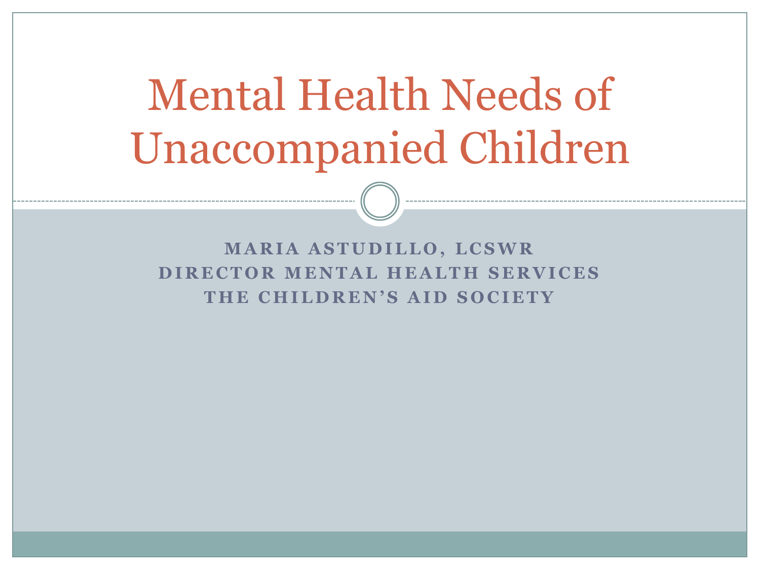# Mental Health Needs of Unaccompanied Children

**MARIA ASTUDILLO, LCSWR DIRECTOR MENTAL HEALTH SERVICES** THE CHILDREN'S AID SOCIETY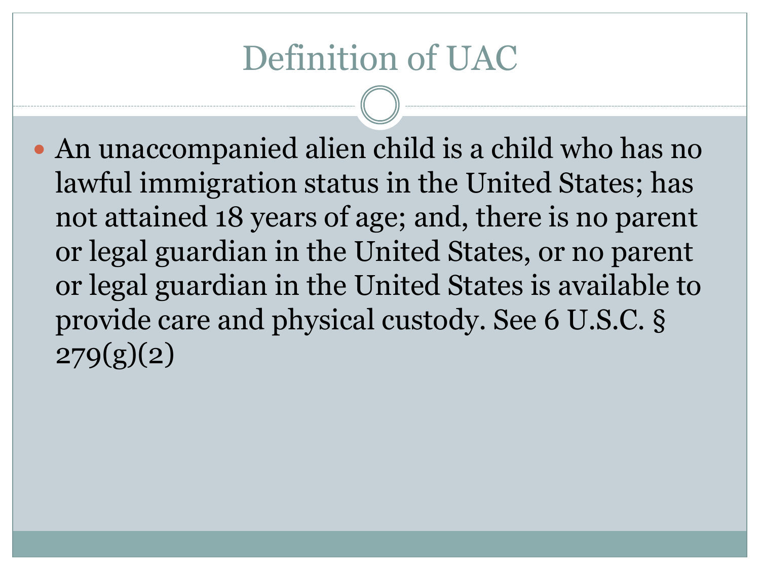## Definition of UAC

 An unaccompanied alien child is a child who has no lawful immigration status in the United States; has not attained 18 years of age; and, there is no parent or legal guardian in the United States, or no parent or legal guardian in the United States is available to provide care and physical custody. See 6 U.S.C. §  $279(g)(2)$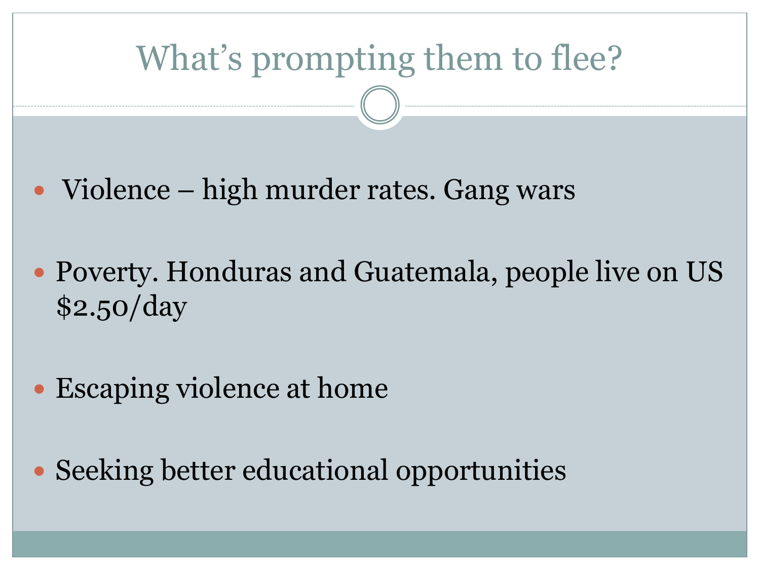## What's prompting them to flee?

- Violence high murder rates. Gang wars
- Poverty. Honduras and Guatemala, people live on US \$2.50/day
- Escaping violence at home
- Seeking better educational opportunities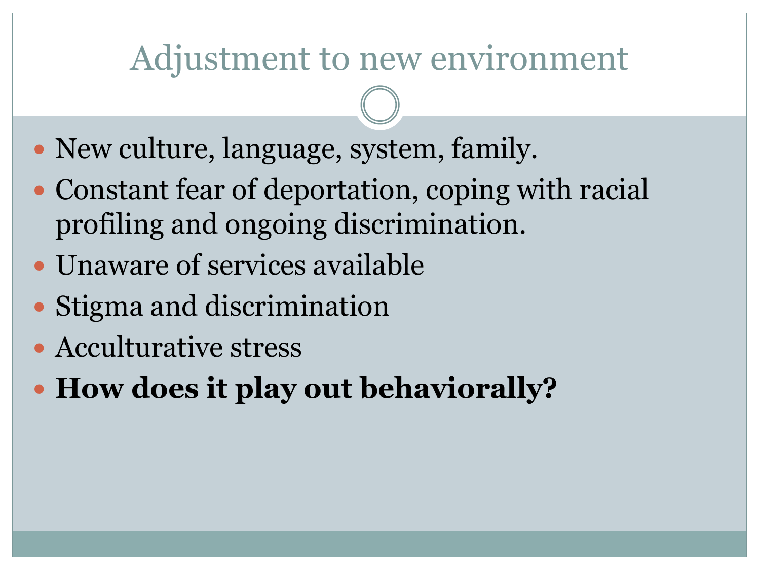### Adjustment to new environment

- New culture, language, system, family.
- Constant fear of deportation, coping with racial profiling and ongoing discrimination.
- Unaware of services available
- Stigma and discrimination
- Acculturative stress
- **How does it play out behaviorally?**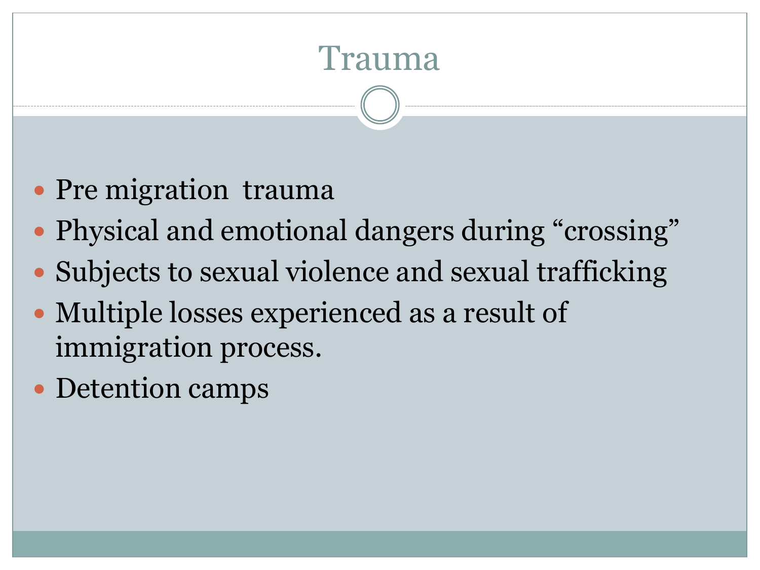### Trauma

- Pre migration trauma
- Physical and emotional dangers during "crossing"
- Subjects to sexual violence and sexual trafficking
- Multiple losses experienced as a result of immigration process.
- Detention camps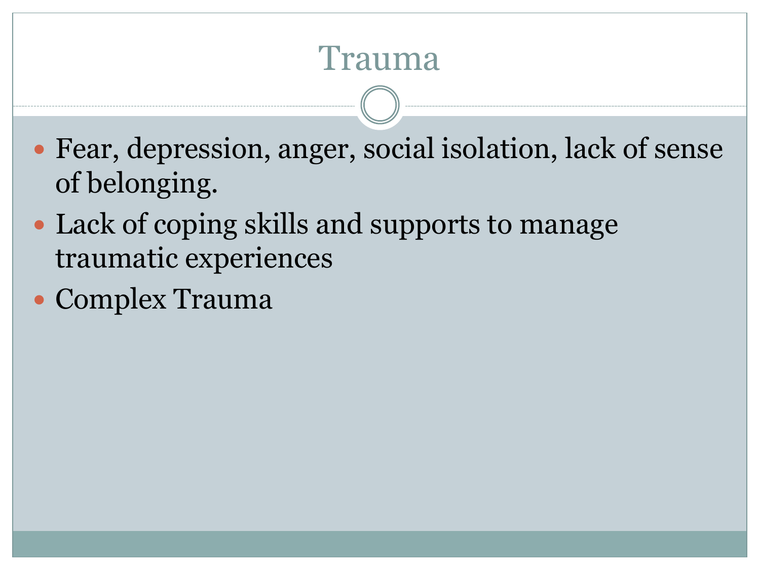#### Trauma

- Fear, depression, anger, social isolation, lack of sense of belonging.
- Lack of coping skills and supports to manage traumatic experiences
- Complex Trauma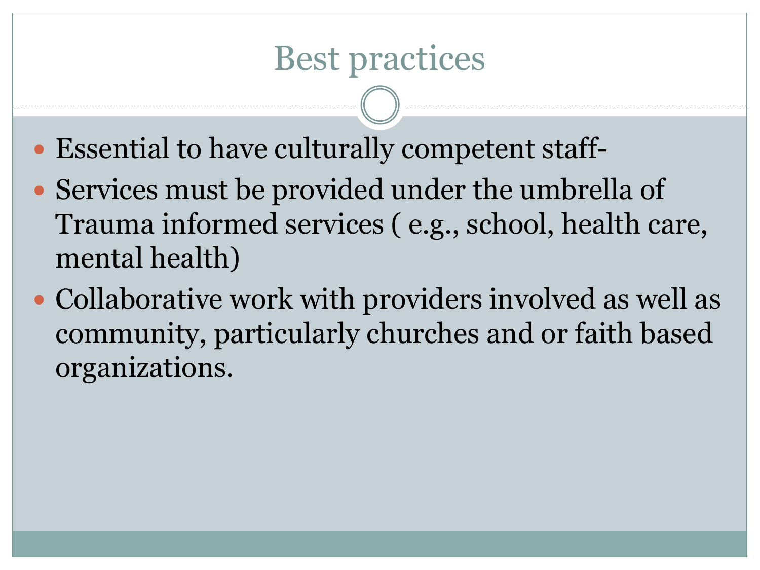- Essential to have culturally competent staff-
- Services must be provided under the umbrella of Trauma informed services ( e.g., school, health care, mental health)
- Collaborative work with providers involved as well as community, particularly churches and or faith based organizations.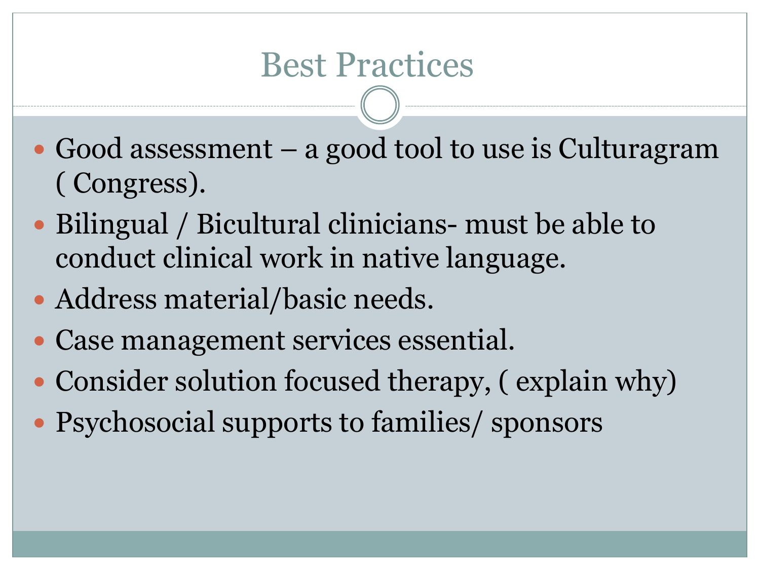- Good assessment a good tool to use is Culturagram ( Congress).
- Bilingual / Bicultural clinicians- must be able to conduct clinical work in native language.
- Address material/basic needs.
- Case management services essential.
- Consider solution focused therapy, (explain why)
- Psychosocial supports to families/ sponsors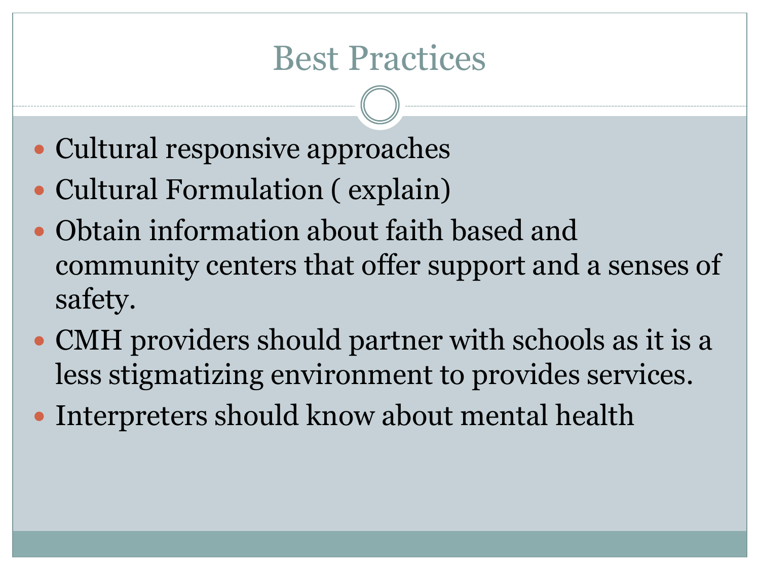#### Best Practices

- Cultural responsive approaches
- Cultural Formulation ( explain)
- Obtain information about faith based and community centers that offer support and a senses of safety.
- CMH providers should partner with schools as it is a less stigmatizing environment to provides services.
- Interpreters should know about mental health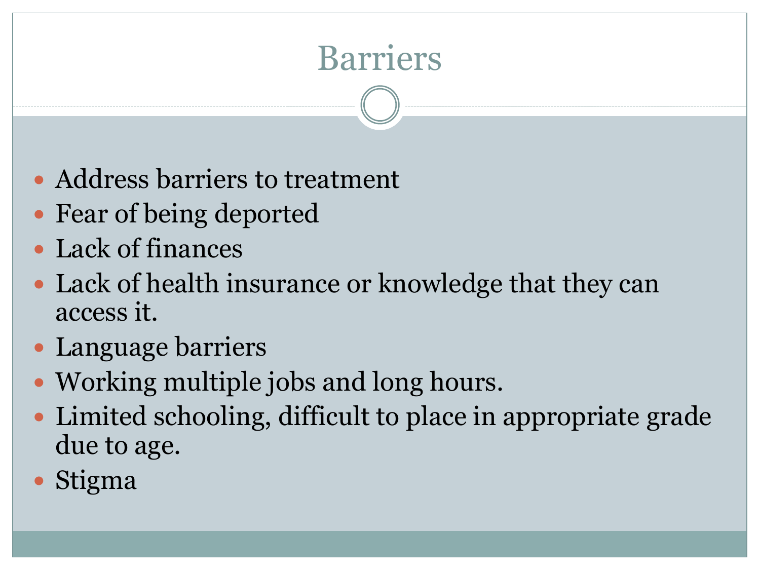# Barriers

- Address barriers to treatment
- Fear of being deported
- Lack of finances
- Lack of health insurance or knowledge that they can access it.
- Language barriers
- Working multiple jobs and long hours.
- Limited schooling, difficult to place in appropriate grade due to age.
- Stigma